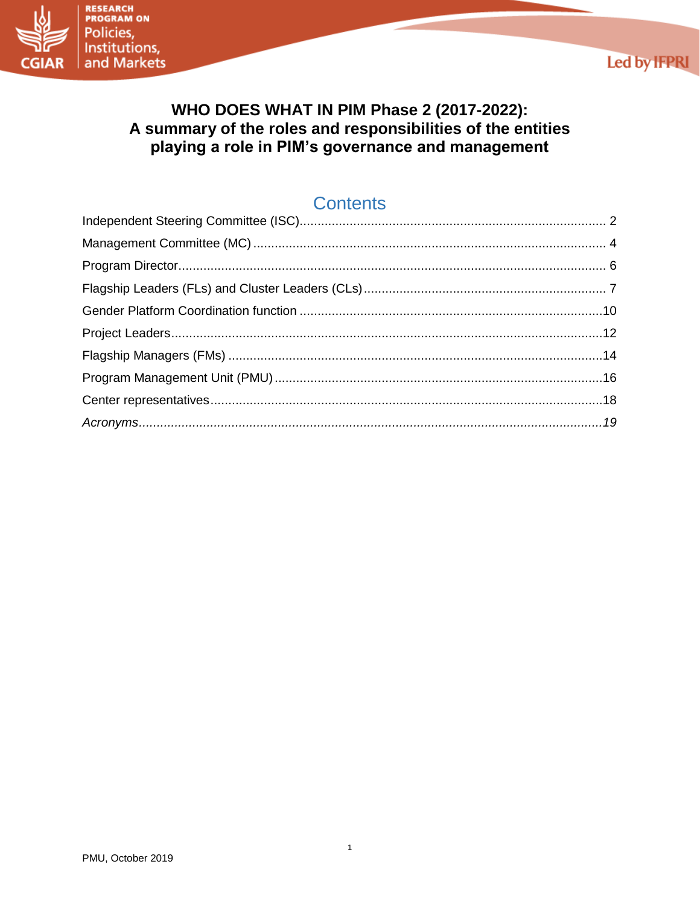



# WHO DOES WHAT IN PIM Phase 2 (2017-2022): A summary of the roles and responsibilities of the entities playing a role in PIM's governance and management

# **Contents**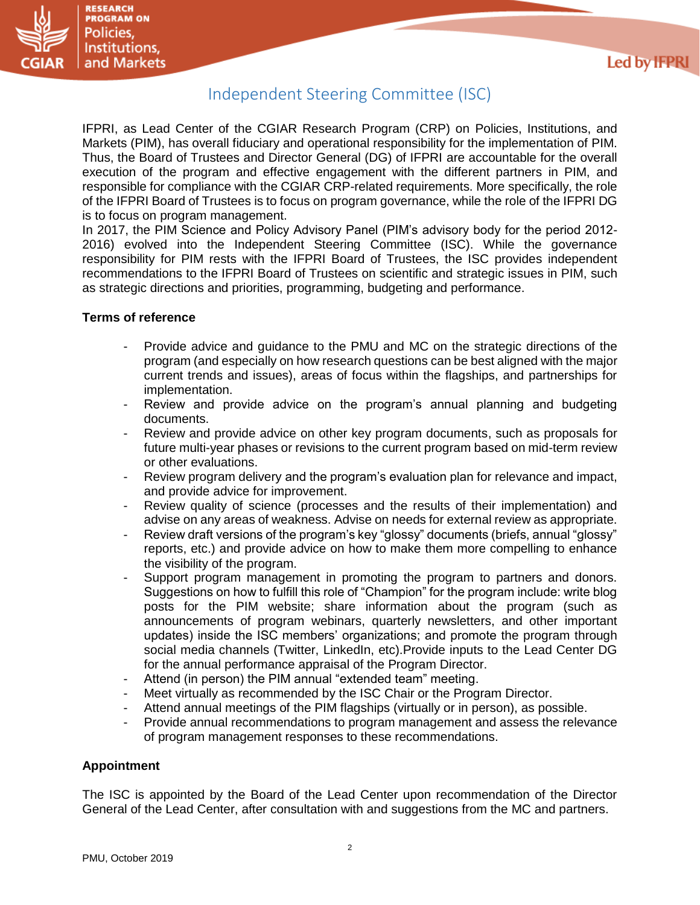

## Independent Steering Committee (ISC)

<span id="page-1-0"></span>IFPRI, as Lead Center of the CGIAR Research Program (CRP) on Policies, Institutions, and Markets (PIM), has overall fiduciary and operational responsibility for the implementation of PIM. Thus, the Board of Trustees and Director General (DG) of IFPRI are accountable for the overall execution of the program and effective engagement with the different partners in PIM, and responsible for compliance with the CGIAR CRP-related requirements. More specifically, the role of the IFPRI Board of Trustees is to focus on program governance, while the role of the IFPRI DG is to focus on program management.

In 2017, the PIM Science and Policy Advisory Panel (PIM's advisory body for the period 2012- 2016) evolved into the Independent Steering Committee (ISC). While the governance responsibility for PIM rests with the IFPRI Board of Trustees, the ISC provides independent recommendations to the IFPRI Board of Trustees on scientific and strategic issues in PIM, such as strategic directions and priorities, programming, budgeting and performance.

## **Terms of reference**

- Provide advice and guidance to the PMU and MC on the strategic directions of the program (and especially on how research questions can be best aligned with the major current trends and issues), areas of focus within the flagships, and partnerships for implementation.
- Review and provide advice on the program's annual planning and budgeting documents.
- Review and provide advice on other key program documents, such as proposals for future multi-year phases or revisions to the current program based on mid-term review or other evaluations.
- Review program delivery and the program's evaluation plan for relevance and impact, and provide advice for improvement.
- Review quality of science (processes and the results of their implementation) and advise on any areas of weakness. Advise on needs for external review as appropriate.
- Review draft versions of the program's key "glossy" documents (briefs, annual "glossy" reports, etc.) and provide advice on how to make them more compelling to enhance the visibility of the program.
- Support program management in promoting the program to partners and donors. Suggestions on how to fulfill this role of "Champion" for the program include: write blog posts for the PIM website; share information about the program (such as announcements of program webinars, quarterly newsletters, and other important updates) inside the ISC members' organizations; and promote the program through social media channels (Twitter, LinkedIn, etc).Provide inputs to the Lead Center DG for the annual performance appraisal of the Program Director.
- Attend (in person) the PIM annual "extended team" meeting.
- Meet virtually as recommended by the ISC Chair or the Program Director.
- Attend annual meetings of the PIM flagships (virtually or in person), as possible.
- Provide annual recommendations to program management and assess the relevance of program management responses to these recommendations.

## **Appointment**

The ISC is appointed by the Board of the Lead Center upon recommendation of the Director General of the Lead Center, after consultation with and suggestions from the MC and partners.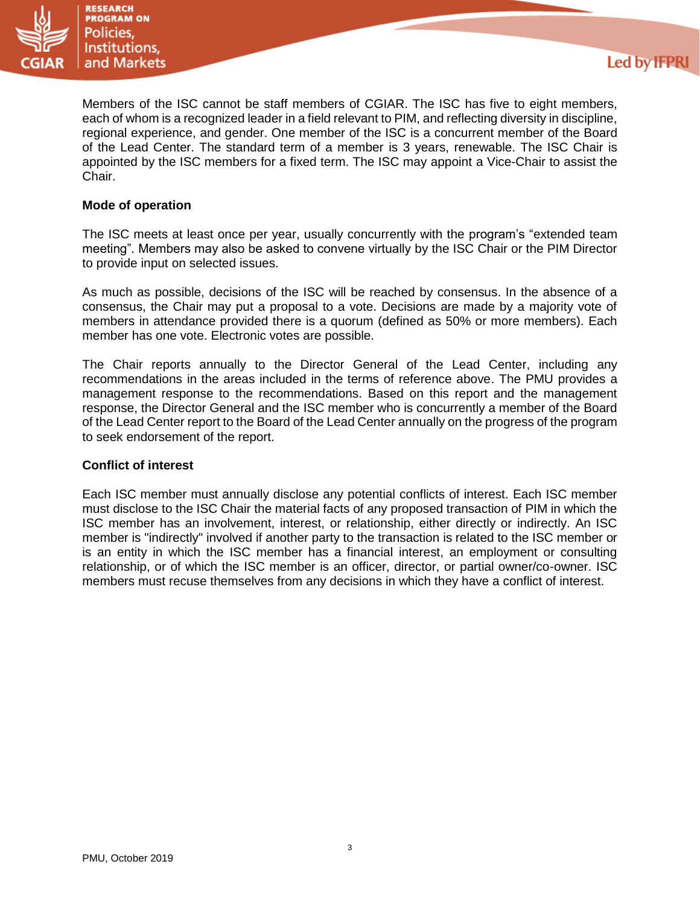

Members of the ISC cannot be staff members of CGIAR. The ISC has five to eight members, each of whom is a recognized leader in a field relevant to PIM, and reflecting diversity in discipline, regional experience, and gender. One member of the ISC is a concurrent member of the Board of the Lead Center. The standard term of a member is 3 years, renewable. The ISC Chair is appointed by the ISC members for a fixed term. The ISC may appoint a Vice-Chair to assist the Chair.

**Led by IFPRI** 

## **Mode of operation**

The ISC meets at least once per year, usually concurrently with the program's "extended team meeting". Members may also be asked to convene virtually by the ISC Chair or the PIM Director to provide input on selected issues.

As much as possible, decisions of the ISC will be reached by consensus. In the absence of a consensus, the Chair may put a proposal to a vote. Decisions are made by a majority vote of members in attendance provided there is a quorum (defined as 50% or more members). Each member has one vote. Electronic votes are possible.

The Chair reports annually to the Director General of the Lead Center, including any recommendations in the areas included in the terms of reference above. The PMU provides a management response to the recommendations. Based on this report and the management response, the Director General and the ISC member who is concurrently a member of the Board of the Lead Center report to the Board of the Lead Center annually on the progress of the program to seek endorsement of the report.

### **Conflict of interest**

Each ISC member must annually disclose any potential conflicts of interest. Each ISC member must disclose to the ISC Chair the material facts of any proposed transaction of PIM in which the ISC member has an involvement, interest, or relationship, either directly or indirectly. An ISC member is "indirectly" involved if another party to the transaction is related to the ISC member or is an entity in which the ISC member has a financial interest, an employment or consulting relationship, or of which the ISC member is an officer, director, or partial owner/co-owner. ISC members must recuse themselves from any decisions in which they have a conflict of interest.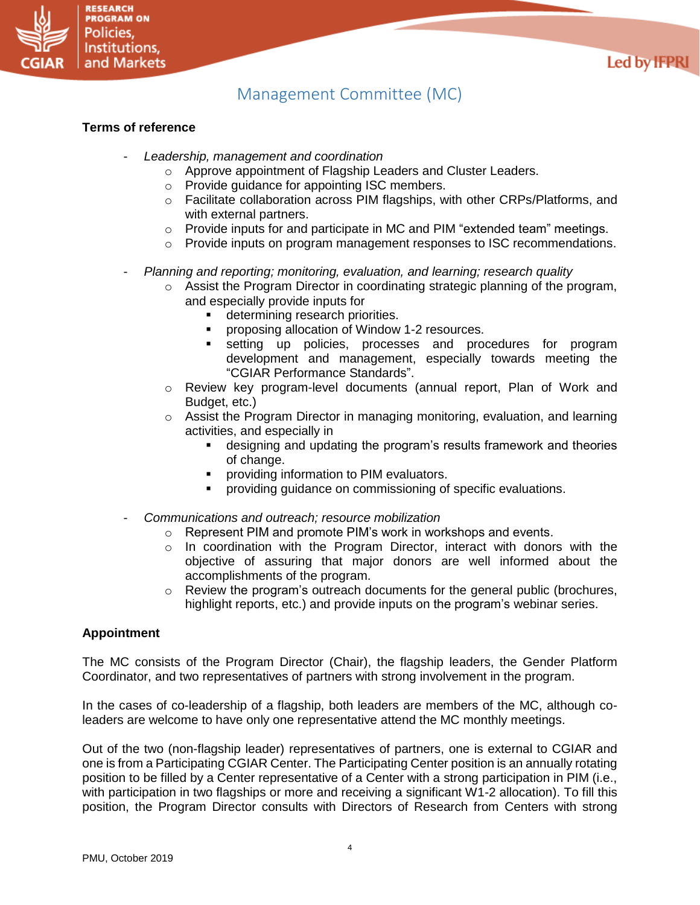

# Management Committee (MC)

#### <span id="page-3-0"></span>**Terms of reference**

**RESEARCH PROGRAM ON** Policies. Institutions, and Markets

- *Leadership, management and coordination*
	- o Approve appointment of Flagship Leaders and Cluster Leaders.
	- o Provide guidance for appointing ISC members.
	- $\circ$  Facilitate collaboration across PIM flagships, with other CRPs/Platforms, and with external partners.
	- $\circ$  Provide inputs for and participate in MC and PIM "extended team" meetings.
	- $\circ$  Provide inputs on program management responses to ISC recommendations.
- *Planning and reporting; monitoring, evaluation, and learning; research quality*
	- $\circ$  Assist the Program Director in coordinating strategic planning of the program, and especially provide inputs for
		- determining research priorities.
		- proposing allocation of Window 1-2 resources.
		- setting up policies, processes and procedures for program development and management, especially towards meeting the "CGIAR Performance Standards".
	- o Review key program-level documents (annual report, Plan of Work and Budget, etc.)
	- $\circ$  Assist the Program Director in managing monitoring, evaluation, and learning activities, and especially in
		- designing and updating the program's results framework and theories of change.
		- providing information to PIM evaluators.
		- providing guidance on commissioning of specific evaluations.
- *Communications and outreach; resource mobilization*
	- o Represent PIM and promote PIM's work in workshops and events.
	- o In coordination with the Program Director, interact with donors with the objective of assuring that major donors are well informed about the accomplishments of the program.
	- $\circ$  Review the program's outreach documents for the general public (brochures, highlight reports, etc.) and provide inputs on the program's webinar series.

#### **Appointment**

The MC consists of the Program Director (Chair), the flagship leaders, the Gender Platform Coordinator, and two representatives of partners with strong involvement in the program.

In the cases of co-leadership of a flagship, both leaders are members of the MC, although coleaders are welcome to have only one representative attend the MC monthly meetings.

Out of the two (non-flagship leader) representatives of partners, one is external to CGIAR and one is from a Participating CGIAR Center. The Participating Center position is an annually rotating position to be filled by a Center representative of a Center with a strong participation in PIM (i.e., with participation in two flagships or more and receiving a significant W1-2 allocation). To fill this position, the Program Director consults with Directors of Research from Centers with strong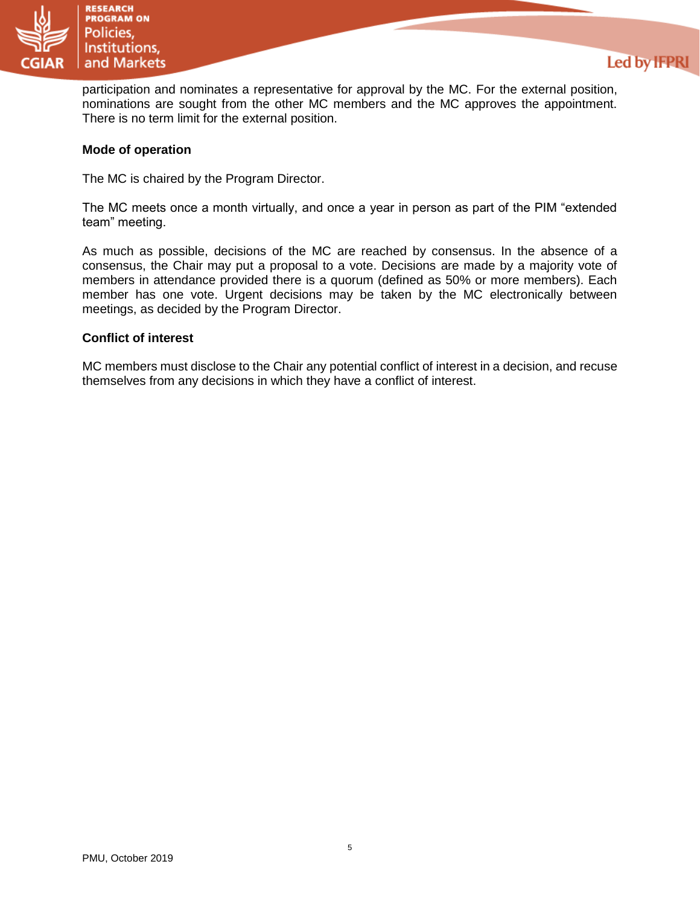

participation and nominates a representative for approval by the MC. For the external position, nominations are sought from the other MC members and the MC approves the appointment. There is no term limit for the external position.

**Led by IFPRI** 

### **Mode of operation**

The MC is chaired by the Program Director.

The MC meets once a month virtually, and once a year in person as part of the PIM "extended team" meeting.

As much as possible, decisions of the MC are reached by consensus. In the absence of a consensus, the Chair may put a proposal to a vote. Decisions are made by a majority vote of members in attendance provided there is a quorum (defined as 50% or more members). Each member has one vote. Urgent decisions may be taken by the MC electronically between meetings, as decided by the Program Director.

#### **Conflict of interest**

MC members must disclose to the Chair any potential conflict of interest in a decision, and recuse themselves from any decisions in which they have a conflict of interest.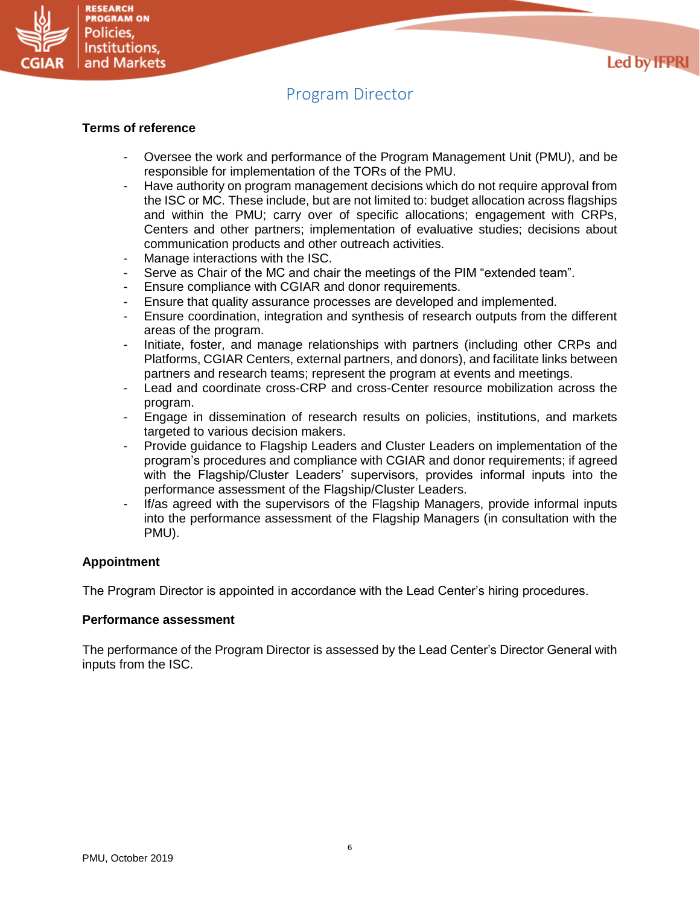

# Program Director

#### <span id="page-5-0"></span>**Terms of reference**

**RESEARCH PROGRAM ON** Policies. Institutions, and Markets

- Oversee the work and performance of the Program Management Unit (PMU), and be responsible for implementation of the TORs of the PMU.
- Have authority on program management decisions which do not require approval from the ISC or MC. These include, but are not limited to: budget allocation across flagships and within the PMU; carry over of specific allocations; engagement with CRPs, Centers and other partners; implementation of evaluative studies; decisions about communication products and other outreach activities.
- Manage interactions with the ISC.
- Serve as Chair of the MC and chair the meetings of the PIM "extended team".
- Ensure compliance with CGIAR and donor requirements.
- Ensure that quality assurance processes are developed and implemented.
- Ensure coordination, integration and synthesis of research outputs from the different areas of the program.
- Initiate, foster, and manage relationships with partners (including other CRPs and Platforms, CGIAR Centers, external partners, and donors), and facilitate links between partners and research teams; represent the program at events and meetings.
- Lead and coordinate cross-CRP and cross-Center resource mobilization across the program.
- Engage in dissemination of research results on policies, institutions, and markets targeted to various decision makers.
- Provide guidance to Flagship Leaders and Cluster Leaders on implementation of the program's procedures and compliance with CGIAR and donor requirements; if agreed with the Flagship/Cluster Leaders' supervisors, provides informal inputs into the performance assessment of the Flagship/Cluster Leaders.
- If/as agreed with the supervisors of the Flagship Managers, provide informal inputs into the performance assessment of the Flagship Managers (in consultation with the PMU).

#### **Appointment**

The Program Director is appointed in accordance with the Lead Center's hiring procedures.

#### **Performance assessment**

The performance of the Program Director is assessed by the Lead Center's Director General with inputs from the ISC.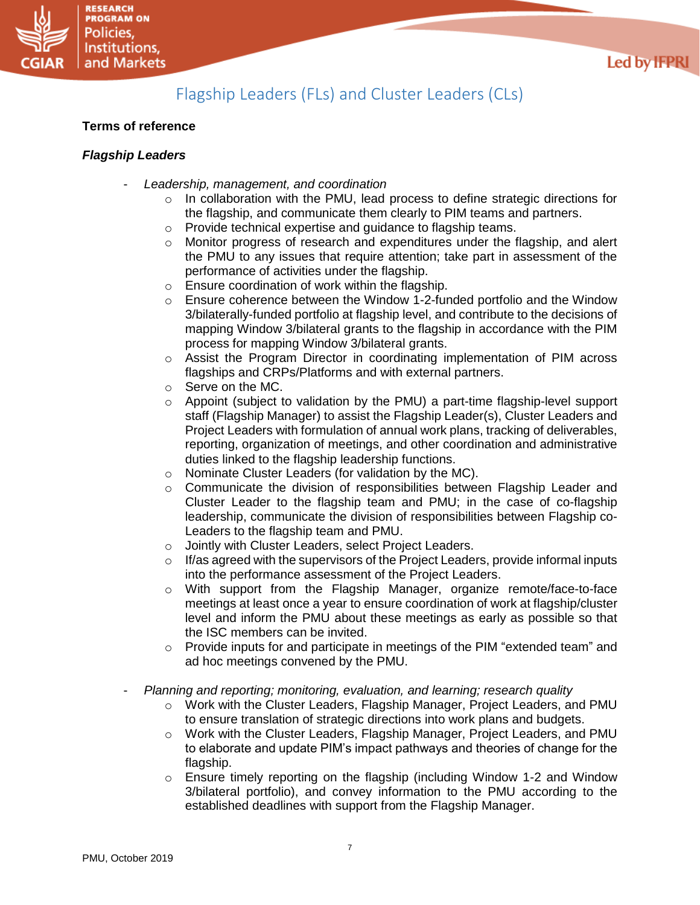

# Flagship Leaders (FLs) and Cluster Leaders (CLs)

## <span id="page-6-0"></span>**Terms of reference**

## *Flagship Leaders*

- *Leadership, management, and coordination*
	- $\circ$  In collaboration with the PMU, lead process to define strategic directions for the flagship, and communicate them clearly to PIM teams and partners.
	- o Provide technical expertise and guidance to flagship teams.
	- $\circ$  Monitor progress of research and expenditures under the flagship, and alert the PMU to any issues that require attention; take part in assessment of the performance of activities under the flagship.
	- o Ensure coordination of work within the flagship.
	- $\circ$  Ensure coherence between the Window 1-2-funded portfolio and the Window 3/bilaterally-funded portfolio at flagship level, and contribute to the decisions of mapping Window 3/bilateral grants to the flagship in accordance with the PIM process for mapping Window 3/bilateral grants.
	- o Assist the Program Director in coordinating implementation of PIM across flagships and CRPs/Platforms and with external partners.
	- o Serve on the MC.
	- o Appoint (subject to validation by the PMU) a part-time flagship-level support staff (Flagship Manager) to assist the Flagship Leader(s), Cluster Leaders and Project Leaders with formulation of annual work plans, tracking of deliverables, reporting, organization of meetings, and other coordination and administrative duties linked to the flagship leadership functions.
	- o Nominate Cluster Leaders (for validation by the MC).
	- $\circ$  Communicate the division of responsibilities between Flagship Leader and Cluster Leader to the flagship team and PMU; in the case of co-flagship leadership, communicate the division of responsibilities between Flagship co-Leaders to the flagship team and PMU.
	- o Jointly with Cluster Leaders, select Project Leaders.
	- $\circ$  If/as agreed with the supervisors of the Project Leaders, provide informal inputs into the performance assessment of the Project Leaders.
	- $\circ$  With support from the Flagship Manager, organize remote/face-to-face meetings at least once a year to ensure coordination of work at flagship/cluster level and inform the PMU about these meetings as early as possible so that the ISC members can be invited.
	- o Provide inputs for and participate in meetings of the PIM "extended team" and ad hoc meetings convened by the PMU.
- *Planning and reporting; monitoring, evaluation, and learning; research quality*
	- o Work with the Cluster Leaders, Flagship Manager, Project Leaders, and PMU to ensure translation of strategic directions into work plans and budgets.
	- o Work with the Cluster Leaders, Flagship Manager, Project Leaders, and PMU to elaborate and update PIM's impact pathways and theories of change for the flagship.
	- $\circ$  Ensure timely reporting on the flagship (including Window 1-2 and Window 3/bilateral portfolio), and convey information to the PMU according to the established deadlines with support from the Flagship Manager.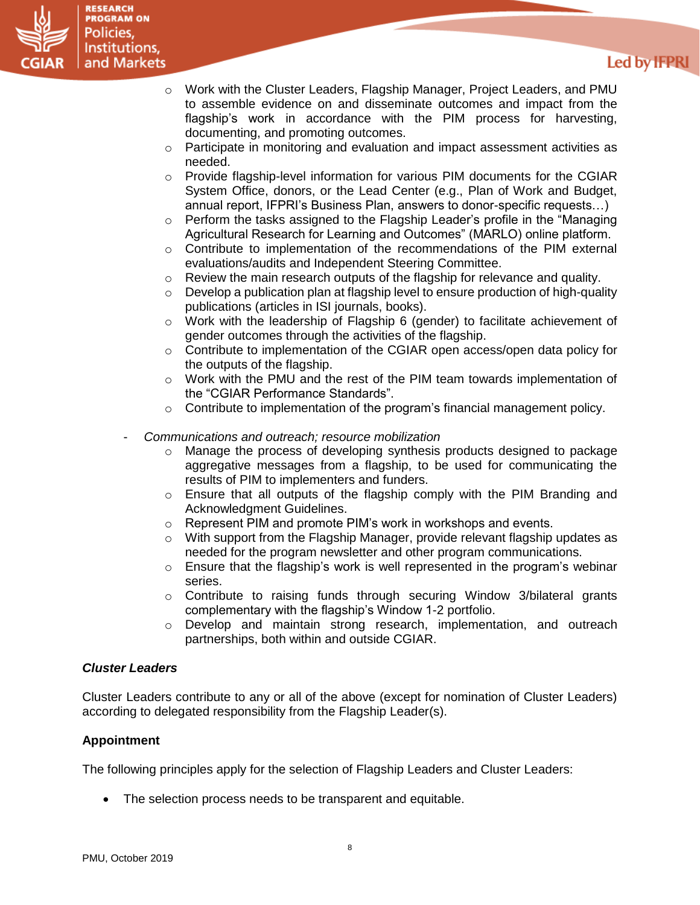

## **Led by IFPRI**

- o Work with the Cluster Leaders, Flagship Manager, Project Leaders, and PMU to assemble evidence on and disseminate outcomes and impact from the flagship's work in accordance with the PIM process for harvesting, documenting, and promoting outcomes.
- $\circ$  Participate in monitoring and evaluation and impact assessment activities as needed.
- $\circ$  Provide flagship-level information for various PIM documents for the CGIAR System Office, donors, or the Lead Center (e.g., Plan of Work and Budget, annual report, IFPRI's Business Plan, answers to donor-specific requests…)
- o Perform the tasks assigned to the Flagship Leader's profile in the "Managing Agricultural Research for Learning and Outcomes" (MARLO) online platform.
- $\circ$  Contribute to implementation of the recommendations of the PIM external evaluations/audits and Independent Steering Committee.
- $\circ$  Review the main research outputs of the flagship for relevance and quality.
- $\circ$  Develop a publication plan at flagship level to ensure production of high-quality publications (articles in ISI journals, books).
- o Work with the leadership of Flagship 6 (gender) to facilitate achievement of gender outcomes through the activities of the flagship.
- o Contribute to implementation of the CGIAR open access/open data policy for the outputs of the flagship.
- o Work with the PMU and the rest of the PIM team towards implementation of the "CGIAR Performance Standards".
- $\circ$  Contribute to implementation of the program's financial management policy.
- *Communications and outreach; resource mobilization*
	- o Manage the process of developing synthesis products designed to package aggregative messages from a flagship, to be used for communicating the results of PIM to implementers and funders.
	- $\circ$  Ensure that all outputs of the flagship comply with the PIM Branding and Acknowledgment Guidelines.
	- o Represent PIM and promote PIM's work in workshops and events.
	- $\circ$  With support from the Flagship Manager, provide relevant flagship updates as needed for the program newsletter and other program communications.
	- $\circ$  Ensure that the flagship's work is well represented in the program's webinar series.
	- $\circ$  Contribute to raising funds through securing Window 3/bilateral grants complementary with the flagship's Window 1-2 portfolio.
	- $\circ$  Develop and maintain strong research, implementation, and outreach partnerships, both within and outside CGIAR.

### *Cluster Leaders*

Cluster Leaders contribute to any or all of the above (except for nomination of Cluster Leaders) according to delegated responsibility from the Flagship Leader(s).

## **Appointment**

The following principles apply for the selection of Flagship Leaders and Cluster Leaders:

• The selection process needs to be transparent and equitable.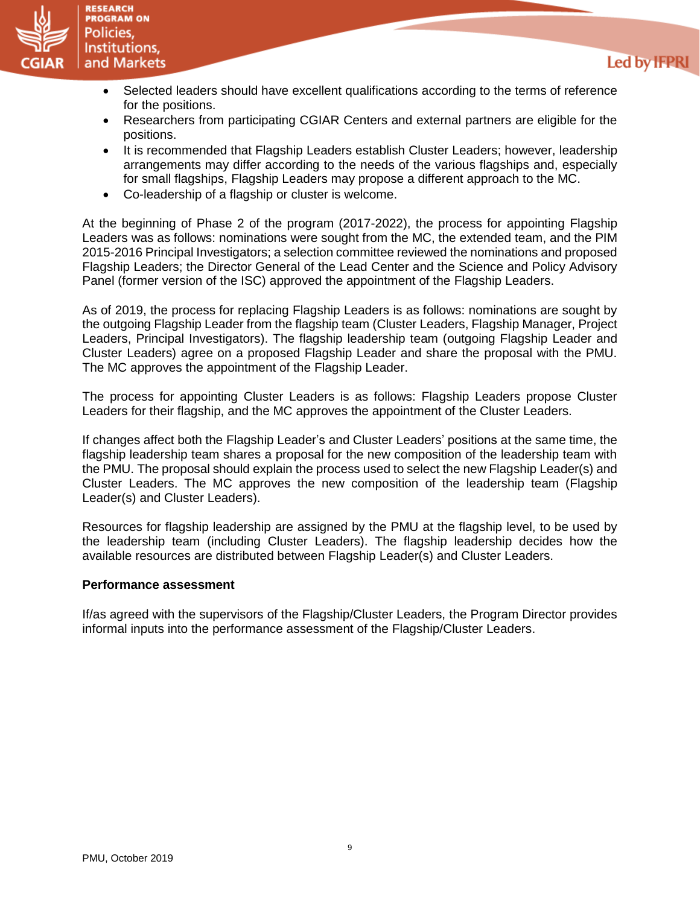

• Selected leaders should have excellent qualifications according to the terms of reference for the positions.

Led by **IFPRI** 

- Researchers from participating CGIAR Centers and external partners are eligible for the positions.
- It is recommended that Flagship Leaders establish Cluster Leaders; however, leadership arrangements may differ according to the needs of the various flagships and, especially for small flagships, Flagship Leaders may propose a different approach to the MC.
- Co-leadership of a flagship or cluster is welcome.

At the beginning of Phase 2 of the program (2017-2022), the process for appointing Flagship Leaders was as follows: nominations were sought from the MC, the extended team, and the PIM 2015-2016 Principal Investigators; a selection committee reviewed the nominations and proposed Flagship Leaders; the Director General of the Lead Center and the Science and Policy Advisory Panel (former version of the ISC) approved the appointment of the Flagship Leaders.

As of 2019, the process for replacing Flagship Leaders is as follows: nominations are sought by the outgoing Flagship Leader from the flagship team (Cluster Leaders, Flagship Manager, Project Leaders, Principal Investigators). The flagship leadership team (outgoing Flagship Leader and Cluster Leaders) agree on a proposed Flagship Leader and share the proposal with the PMU. The MC approves the appointment of the Flagship Leader.

The process for appointing Cluster Leaders is as follows: Flagship Leaders propose Cluster Leaders for their flagship, and the MC approves the appointment of the Cluster Leaders.

If changes affect both the Flagship Leader's and Cluster Leaders' positions at the same time, the flagship leadership team shares a proposal for the new composition of the leadership team with the PMU. The proposal should explain the process used to select the new Flagship Leader(s) and Cluster Leaders. The MC approves the new composition of the leadership team (Flagship Leader(s) and Cluster Leaders).

Resources for flagship leadership are assigned by the PMU at the flagship level, to be used by the leadership team (including Cluster Leaders). The flagship leadership decides how the available resources are distributed between Flagship Leader(s) and Cluster Leaders.

### **Performance assessment**

If/as agreed with the supervisors of the Flagship/Cluster Leaders, the Program Director provides informal inputs into the performance assessment of the Flagship/Cluster Leaders.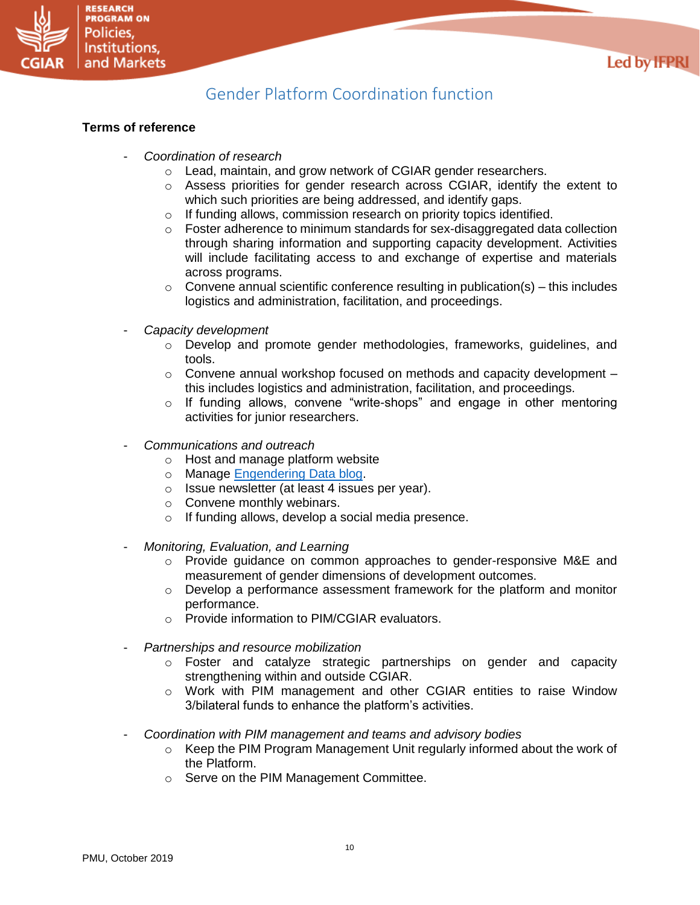

# Gender Platform Coordination function

## <span id="page-9-0"></span>**Terms of reference**

- *Coordination of research*
	- o Lead, maintain, and grow network of CGIAR gender researchers.
	- o Assess priorities for gender research across CGIAR, identify the extent to which such priorities are being addressed, and identify gaps.
	- o If funding allows, commission research on priority topics identified.
	- $\circ$  Foster adherence to minimum standards for sex-disaggregated data collection through sharing information and supporting capacity development. Activities will include facilitating access to and exchange of expertise and materials across programs.
	- $\circ$  Convene annual scientific conference resulting in publication(s) this includes logistics and administration, facilitation, and proceedings.
- *Capacity development*
	- $\circ$  Develop and promote gender methodologies, frameworks, guidelines, and tools.
	- $\circ$  Convene annual workshop focused on methods and capacity development  $$ this includes logistics and administration, facilitation, and proceedings.
	- o If funding allows, convene "write-shops" and engage in other mentoring activities for junior researchers.
- *Communications and outreach*
	- o Host and manage platform website
	- o Manage [Engendering Data blog.](https://gender.cgiar.org/resources/engendering-data-methods-blog/)
	- o Issue newsletter (at least 4 issues per year).
	- o Convene monthly webinars.
	- o If funding allows, develop a social media presence.
- *Monitoring, Evaluation, and Learning*
	- o Provide guidance on common approaches to gender-responsive M&E and measurement of gender dimensions of development outcomes.
	- $\circ$  Develop a performance assessment framework for the platform and monitor performance.
	- o Provide information to PIM/CGIAR evaluators.
- *Partnerships and resource mobilization*
	- o Foster and catalyze strategic partnerships on gender and capacity strengthening within and outside CGIAR.
	- o Work with PIM management and other CGIAR entities to raise Window 3/bilateral funds to enhance the platform's activities.
- *Coordination with PIM management and teams and advisory bodies*
	- $\circ$  Keep the PIM Program Management Unit regularly informed about the work of the Platform.
	- o Serve on the PIM Management Committee.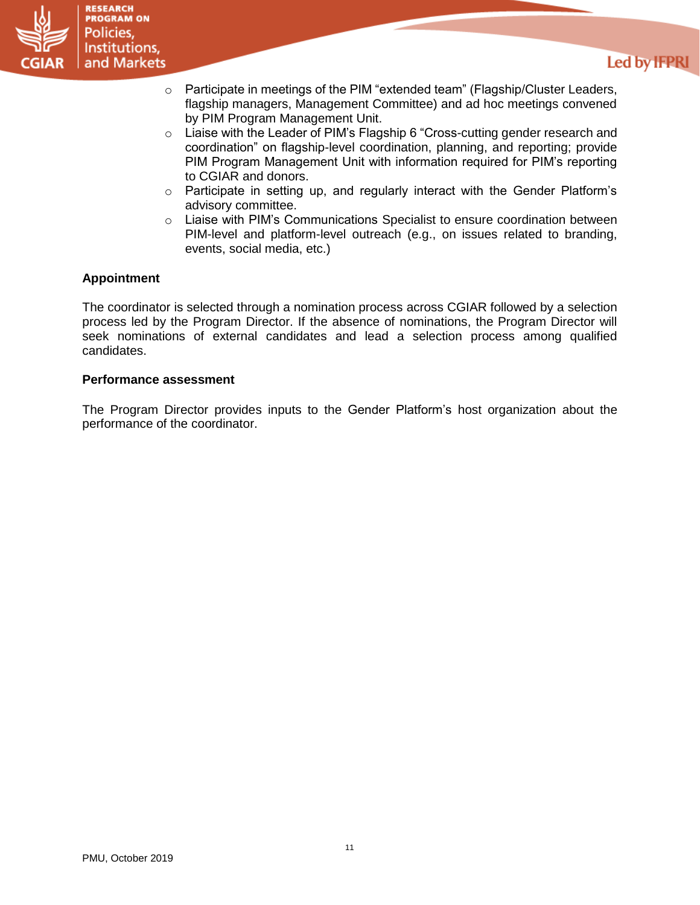

## Led by **IFPRI**

- $\circ$  Participate in meetings of the PIM "extended team" (Flagship/Cluster Leaders, flagship managers, Management Committee) and ad hoc meetings convened by PIM Program Management Unit.
- o Liaise with the Leader of PIM's Flagship 6 "Cross-cutting gender research and coordination" on flagship-level coordination, planning, and reporting; provide PIM Program Management Unit with information required for PIM's reporting to CGIAR and donors.
- $\circ$  Participate in setting up, and regularly interact with the Gender Platform's advisory committee.
- o Liaise with PIM's Communications Specialist to ensure coordination between PIM-level and platform-level outreach (e.g., on issues related to branding, events, social media, etc.)

## **Appointment**

The coordinator is selected through a nomination process across CGIAR followed by a selection process led by the Program Director. If the absence of nominations, the Program Director will seek nominations of external candidates and lead a selection process among qualified candidates.

#### **Performance assessment**

The Program Director provides inputs to the Gender Platform's host organization about the performance of the coordinator.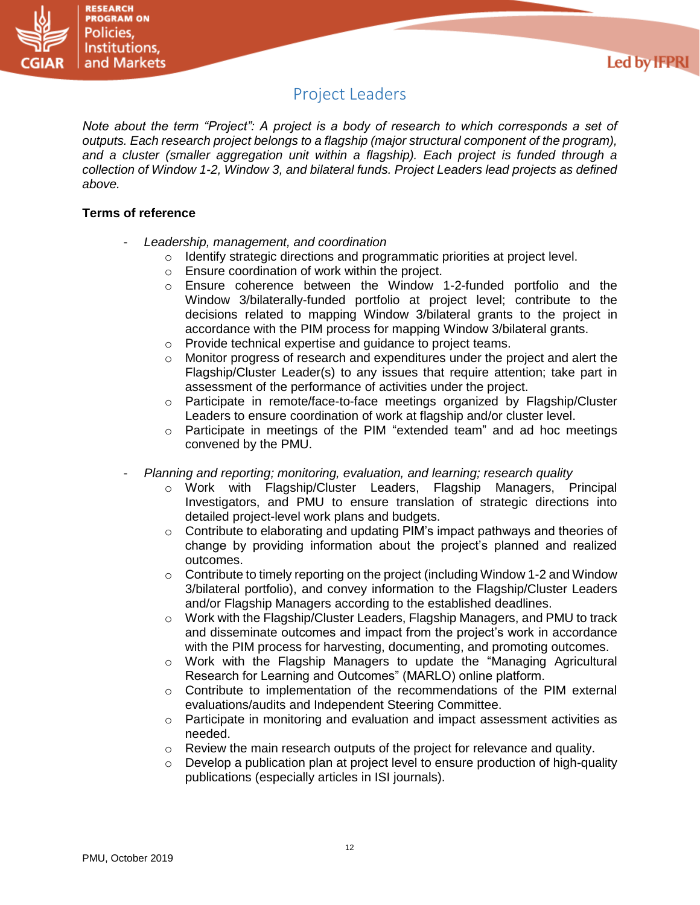



# Project Leaders

<span id="page-11-0"></span>*Note about the term "Project": A project is a body of research to which corresponds a set of outputs. Each research project belongs to a flagship (major structural component of the program), and a cluster (smaller aggregation unit within a flagship). Each project is funded through a collection of Window 1-2, Window 3, and bilateral funds. Project Leaders lead projects as defined above.*

## **Terms of reference**

- *Leadership, management, and coordination*
	- o Identify strategic directions and programmatic priorities at project level.
	- o Ensure coordination of work within the project.
	- o Ensure coherence between the Window 1-2-funded portfolio and the Window 3/bilaterally-funded portfolio at project level; contribute to the decisions related to mapping Window 3/bilateral grants to the project in accordance with the PIM process for mapping Window 3/bilateral grants.
	- o Provide technical expertise and guidance to project teams.
	- o Monitor progress of research and expenditures under the project and alert the Flagship/Cluster Leader(s) to any issues that require attention; take part in assessment of the performance of activities under the project.
	- $\circ$  Participate in remote/face-to-face meetings organized by Flagship/Cluster Leaders to ensure coordination of work at flagship and/or cluster level.
	- $\circ$  Participate in meetings of the PIM "extended team" and ad hoc meetings convened by the PMU.
- *Planning and reporting; monitoring, evaluation, and learning; research quality*
	- o Work with Flagship/Cluster Leaders, Flagship Managers, Principal Investigators, and PMU to ensure translation of strategic directions into detailed project-level work plans and budgets.
	- $\circ$  Contribute to elaborating and updating PIM's impact pathways and theories of change by providing information about the project's planned and realized outcomes.
	- $\circ$  Contribute to timely reporting on the project (including Window 1-2 and Window 3/bilateral portfolio), and convey information to the Flagship/Cluster Leaders and/or Flagship Managers according to the established deadlines.
	- $\circ$  Work with the Flagship/Cluster Leaders, Flagship Managers, and PMU to track and disseminate outcomes and impact from the project's work in accordance with the PIM process for harvesting, documenting, and promoting outcomes.
	- $\circ$  Work with the Flagship Managers to update the "Managing Agricultural Research for Learning and Outcomes" (MARLO) online platform.
	- $\circ$  Contribute to implementation of the recommendations of the PIM external evaluations/audits and Independent Steering Committee.
	- $\circ$  Participate in monitoring and evaluation and impact assessment activities as needed.
	- $\circ$  Review the main research outputs of the project for relevance and quality.
	- Develop a publication plan at project level to ensure production of high-quality publications (especially articles in ISI journals).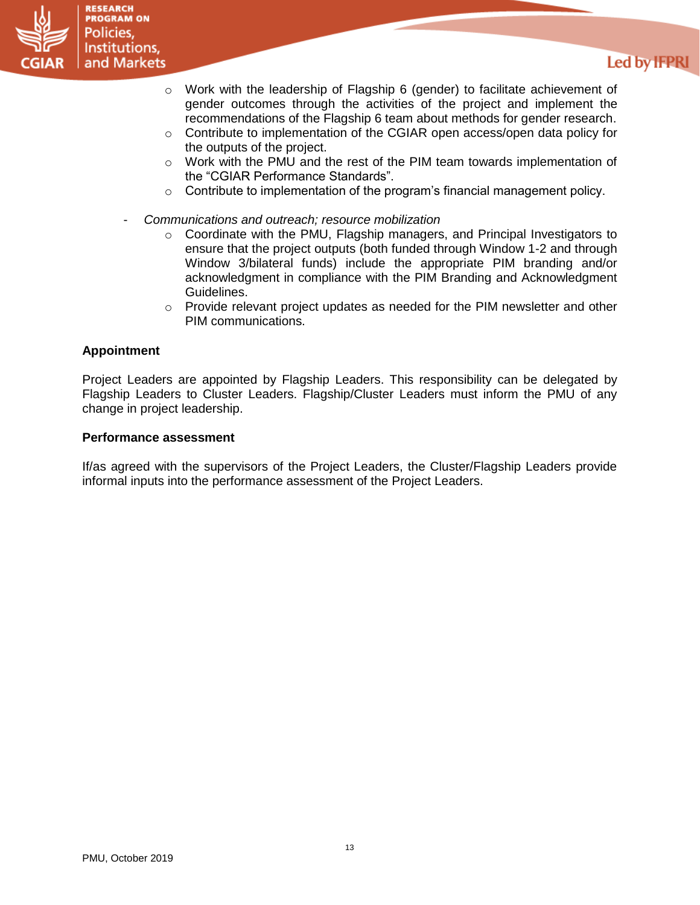

# Led by **IFPRI**

- $\circ$  Work with the leadership of Flagship 6 (gender) to facilitate achievement of gender outcomes through the activities of the project and implement the recommendations of the Flagship 6 team about methods for gender research.
- o Contribute to implementation of the CGIAR open access/open data policy for the outputs of the project.
- $\circ$  Work with the PMU and the rest of the PIM team towards implementation of the "CGIAR Performance Standards".
- $\circ$  Contribute to implementation of the program's financial management policy.
- *Communications and outreach; resource mobilization*
	- $\circ$  Coordinate with the PMU, Flagship managers, and Principal Investigators to ensure that the project outputs (both funded through Window 1-2 and through Window 3/bilateral funds) include the appropriate PIM branding and/or acknowledgment in compliance with the PIM Branding and Acknowledgment Guidelines.
	- $\circ$  Provide relevant project updates as needed for the PIM newsletter and other PIM communications.

### **Appointment**

Project Leaders are appointed by Flagship Leaders. This responsibility can be delegated by Flagship Leaders to Cluster Leaders. Flagship/Cluster Leaders must inform the PMU of any change in project leadership.

#### **Performance assessment**

If/as agreed with the supervisors of the Project Leaders, the Cluster/Flagship Leaders provide informal inputs into the performance assessment of the Project Leaders.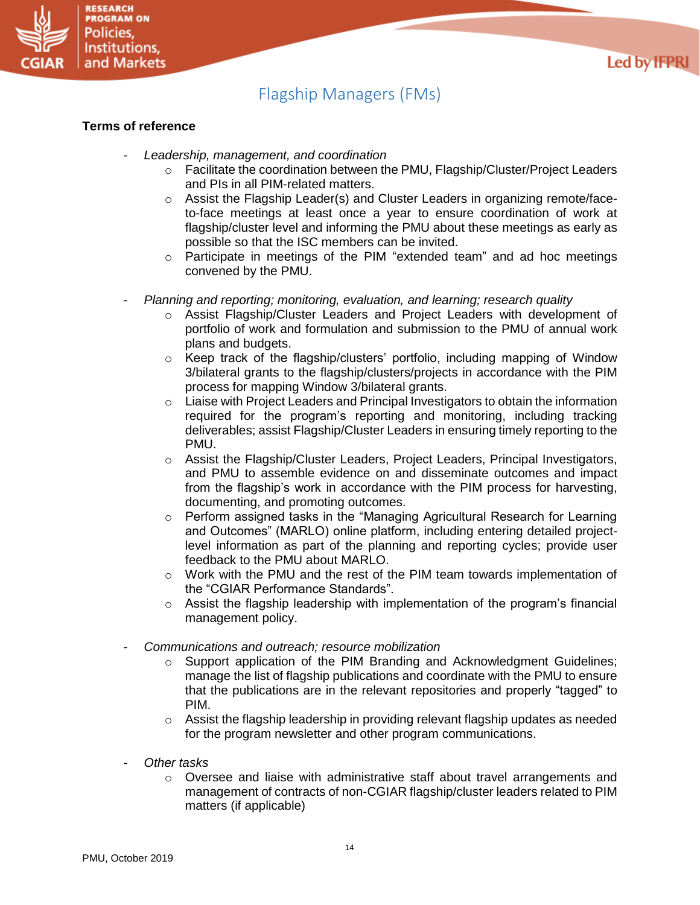

### **Terms of reference**

**RESEARCH PROGRAM ON** Policies. Institutions.

<span id="page-13-0"></span>and Markets

- *Leadership, management, and coordination*
	- o Facilitate the coordination between the PMU, Flagship/Cluster/Project Leaders and PIs in all PIM-related matters.
	- $\circ$  Assist the Flagship Leader(s) and Cluster Leaders in organizing remote/faceto-face meetings at least once a year to ensure coordination of work at flagship/cluster level and informing the PMU about these meetings as early as possible so that the ISC members can be invited.
	- o Participate in meetings of the PIM "extended team" and ad hoc meetings convened by the PMU.
- *Planning and reporting; monitoring, evaluation, and learning; research quality*
	- o Assist Flagship/Cluster Leaders and Project Leaders with development of portfolio of work and formulation and submission to the PMU of annual work plans and budgets.
	- o Keep track of the flagship/clusters' portfolio, including mapping of Window 3/bilateral grants to the flagship/clusters/projects in accordance with the PIM process for mapping Window 3/bilateral grants.
	- $\circ$  Liaise with Project Leaders and Principal Investigators to obtain the information required for the program's reporting and monitoring, including tracking deliverables; assist Flagship/Cluster Leaders in ensuring timely reporting to the PMU.
	- $\circ$  Assist the Flagship/Cluster Leaders, Project Leaders, Principal Investigators, and PMU to assemble evidence on and disseminate outcomes and impact from the flagship's work in accordance with the PIM process for harvesting, documenting, and promoting outcomes.
	- $\circ$  Perform assigned tasks in the "Managing Agricultural Research for Learning and Outcomes" (MARLO) online platform, including entering detailed projectlevel information as part of the planning and reporting cycles; provide user feedback to the PMU about MARLO.
	- $\circ$  Work with the PMU and the rest of the PIM team towards implementation of the "CGIAR Performance Standards".
	- $\circ$  Assist the flagship leadership with implementation of the program's financial management policy.
- *Communications and outreach; resource mobilization*
	- $\circ$  Support application of the PIM Branding and Acknowledgment Guidelines; manage the list of flagship publications and coordinate with the PMU to ensure that the publications are in the relevant repositories and properly "tagged" to PIM.
	- $\circ$  Assist the flagship leadership in providing relevant flagship updates as needed for the program newsletter and other program communications.
- *Other tasks*
	- $\circ$  Oversee and liaise with administrative staff about travel arrangements and management of contracts of non-CGIAR flagship/cluster leaders related to PIM matters (if applicable)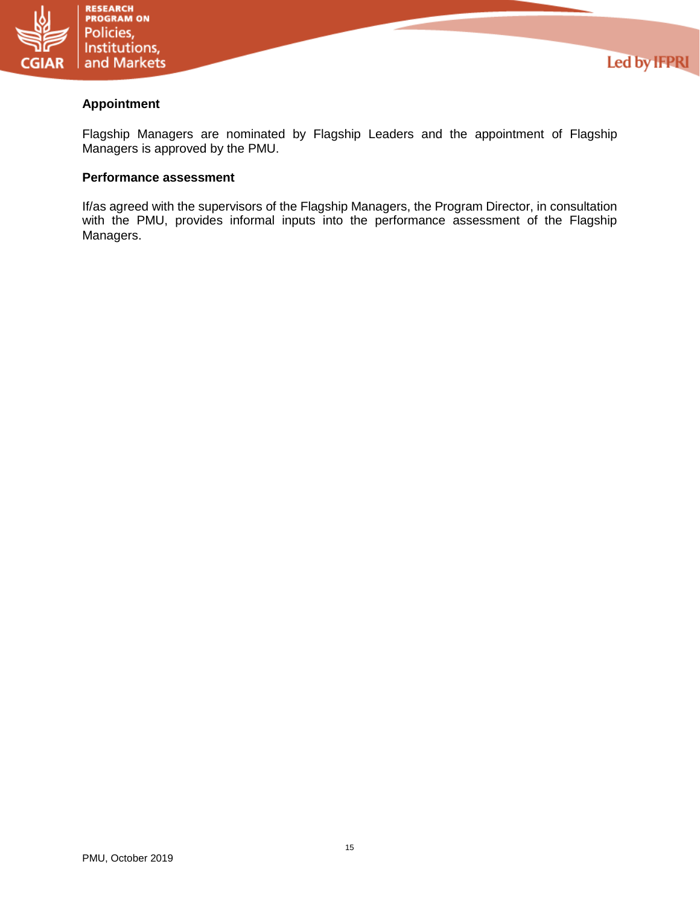

## **Appointment**

Flagship Managers are nominated by Flagship Leaders and the appointment of Flagship Managers is approved by the PMU.

**Led by IFPRI** 

## **Performance assessment**

If/as agreed with the supervisors of the Flagship Managers, the Program Director, in consultation with the PMU, provides informal inputs into the performance assessment of the Flagship Managers.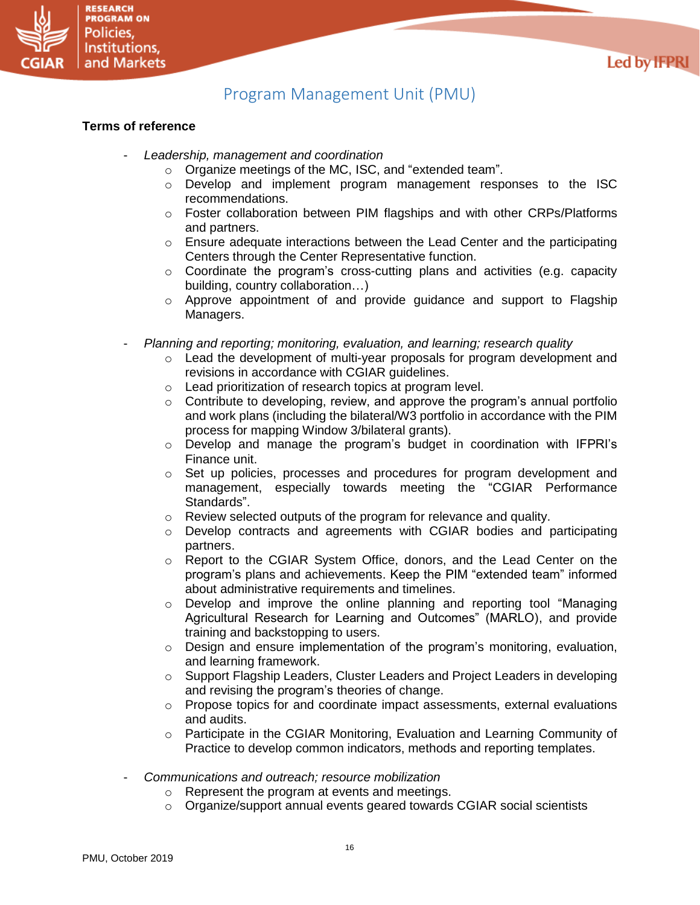



# Program Management Unit (PMU)

## <span id="page-15-0"></span>**Terms of reference**

- *Leadership, management and coordination*
	- o Organize meetings of the MC, ISC, and "extended team".
	- o Develop and implement program management responses to the ISC recommendations.
	- $\circ$  Foster collaboration between PIM flagships and with other CRPs/Platforms and partners.
	- $\circ$  Ensure adequate interactions between the Lead Center and the participating Centers through the Center Representative function.
	- $\circ$  Coordinate the program's cross-cutting plans and activities (e.g. capacity building, country collaboration…)
	- o Approve appointment of and provide guidance and support to Flagship Managers.
- *Planning and reporting; monitoring, evaluation, and learning; research quality*
	- o Lead the development of multi-year proposals for program development and revisions in accordance with CGIAR guidelines.
	- o Lead prioritization of research topics at program level.
	- $\circ$  Contribute to developing, review, and approve the program's annual portfolio and work plans (including the bilateral/W3 portfolio in accordance with the PIM process for mapping Window 3/bilateral grants).
	- $\circ$  Develop and manage the program's budget in coordination with IFPRI's Finance unit.
	- o Set up policies, processes and procedures for program development and management, especially towards meeting the "CGIAR Performance Standards".
	- o Review selected outputs of the program for relevance and quality.
	- $\circ$  Develop contracts and agreements with CGIAR bodies and participating partners.
	- o Report to the CGIAR System Office, donors, and the Lead Center on the program's plans and achievements. Keep the PIM "extended team" informed about administrative requirements and timelines.
	- o Develop and improve the online planning and reporting tool "Managing Agricultural Research for Learning and Outcomes" (MARLO), and provide training and backstopping to users.
	- o Design and ensure implementation of the program's monitoring, evaluation, and learning framework.
	- o Support Flagship Leaders, Cluster Leaders and Project Leaders in developing and revising the program's theories of change.
	- $\circ$  Propose topics for and coordinate impact assessments, external evaluations and audits.
	- o Participate in the CGIAR Monitoring, Evaluation and Learning Community of Practice to develop common indicators, methods and reporting templates.
- *Communications and outreach; resource mobilization*
	- o Represent the program at events and meetings.
	- o Organize/support annual events geared towards CGIAR social scientists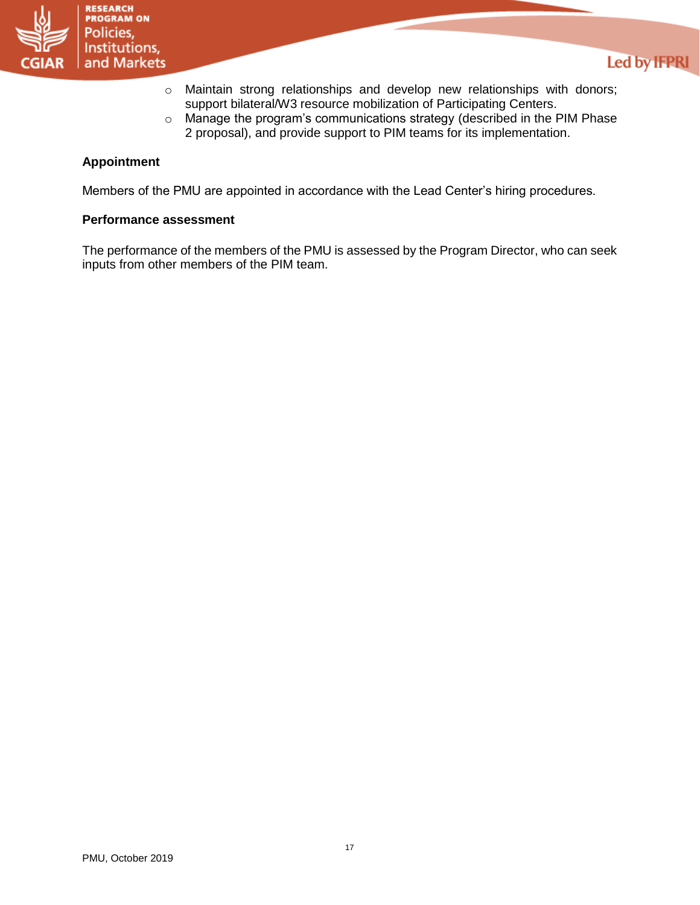

- o Maintain strong relationships and develop new relationships with donors; support bilateral/W3 resource mobilization of Participating Centers.
- o Manage the program's communications strategy (described in the PIM Phase 2 proposal), and provide support to PIM teams for its implementation.

## **Appointment**

Members of the PMU are appointed in accordance with the Lead Center's hiring procedures.

#### **Performance assessment**

The performance of the members of the PMU is assessed by the Program Director, who can seek inputs from other members of the PIM team.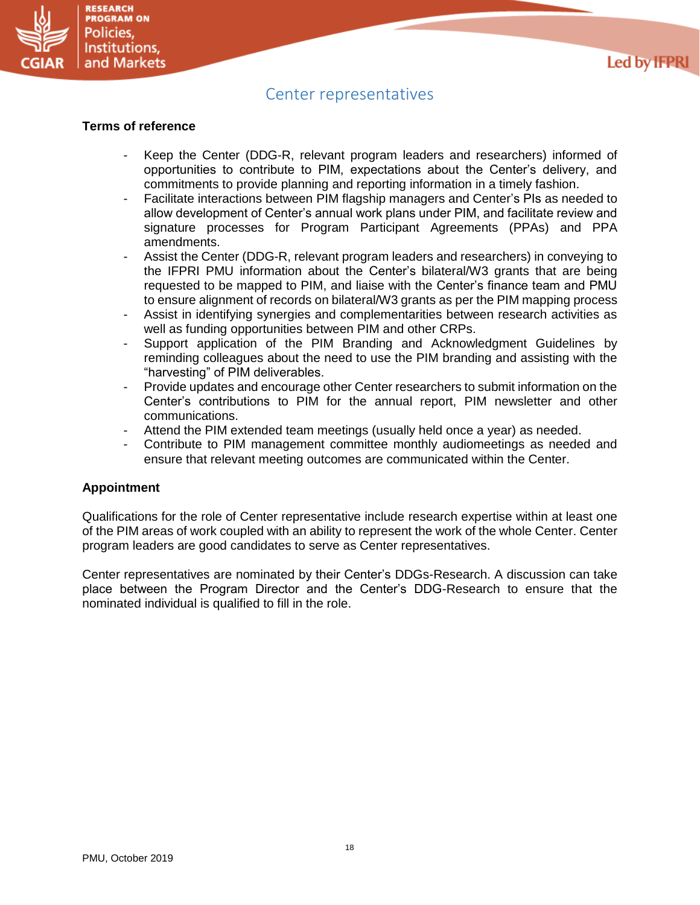

## Center representatives

#### <span id="page-17-0"></span>**Terms of reference**

- Keep the Center (DDG-R, relevant program leaders and researchers) informed of opportunities to contribute to PIM, expectations about the Center's delivery, and commitments to provide planning and reporting information in a timely fashion.
- Facilitate interactions between PIM flagship managers and Center's PIs as needed to allow development of Center's annual work plans under PIM, and facilitate review and signature processes for Program Participant Agreements (PPAs) and PPA amendments.
- Assist the Center (DDG-R, relevant program leaders and researchers) in conveying to the IFPRI PMU information about the Center's bilateral/W3 grants that are being requested to be mapped to PIM, and liaise with the Center's finance team and PMU to ensure alignment of records on bilateral/W3 grants as per the PIM mapping process
- Assist in identifying synergies and complementarities between research activities as well as funding opportunities between PIM and other CRPs.
- Support application of the PIM Branding and Acknowledgment Guidelines by reminding colleagues about the need to use the PIM branding and assisting with the "harvesting" of PIM deliverables.
- Provide updates and encourage other Center researchers to submit information on the Center's contributions to PIM for the annual report, PIM newsletter and other communications.
- Attend the PIM extended team meetings (usually held once a year) as needed.
- Contribute to PIM management committee monthly audiomeetings as needed and ensure that relevant meeting outcomes are communicated within the Center.

### **Appointment**

Qualifications for the role of Center representative include research expertise within at least one of the PIM areas of work coupled with an ability to represent the work of the whole Center. Center program leaders are good candidates to serve as Center representatives.

Center representatives are nominated by their Center's DDGs-Research. A discussion can take place between the Program Director and the Center's DDG-Research to ensure that the nominated individual is qualified to fill in the role.